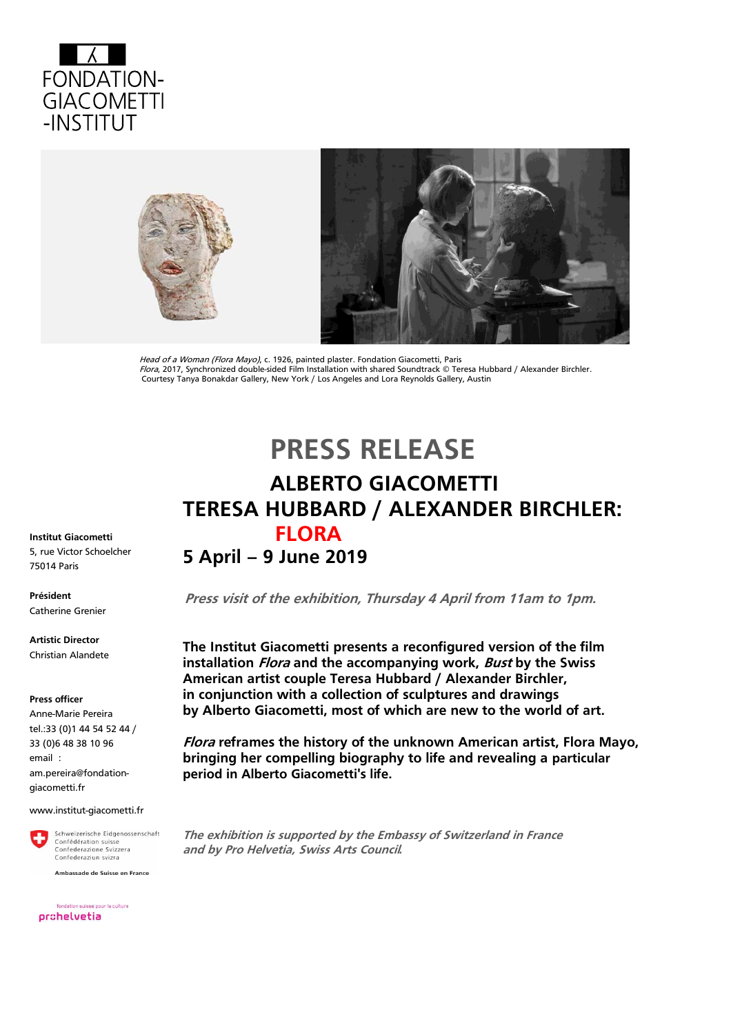



Head of a Woman (Flora Mayo), c. 1926, painted plaster. Fondation Giacometti, Paris Flora, 2017, Synchronized double-sided Film Installation with shared Soundtrack © Teresa Hubbard / Alexander Birchler. Courtesy Tanya Bonakdar Gallery, New York / Los Angeles and Lora Reynolds Gallery, Austin

# **PRESS RELEASE**

# **ALBERTO GIACOMETTI TERESA HUBBARD / ALEXANDER BIRCHLER: FLORA**

### **5 April – 9 June 2019**

 **Press visit of the exhibition, Thursday 4 April from 11am to 1pm.** 

**The Institut Giacometti presents a reconfigured version of the film installation Flora and the accompanying work, Bust by the Swiss American artist couple Teresa Hubbard / Alexander Birchler, in conjunction with a collection of sculptures and drawings by Alberto Giacometti, most of which are new to the world of art.**

**Flora reframes the history of the unknown American artist, Flora Mayo, bringing her compelling biography to life and revealing a particular period in Alberto Giacometti's life.**

**The exhibition is supported by the Embassy of Switzerland in France and by Pro Helvetia, Swiss Arts Council***.* 

**Institut Giacometti**  5, rue Victor Schoelcher 75014 Paris

**Président** Catherine Grenier

**Artistic Director** Christian Alandete

#### **Press officer**

Anne-Marie Pereira tel.:33 (0)1 44 54 52 44 / 33 (0)6 48 38 10 96 email : [am.pereira@fondation](mailto:am.pereira@fondation-giacometti.fr)[giacometti.fr](mailto:am.pereira@fondation-giacometti.fr)

#### www.institut-giacometti.fr



Ambassade de Suisse en France

fondation suisse pour la culture prohelvetia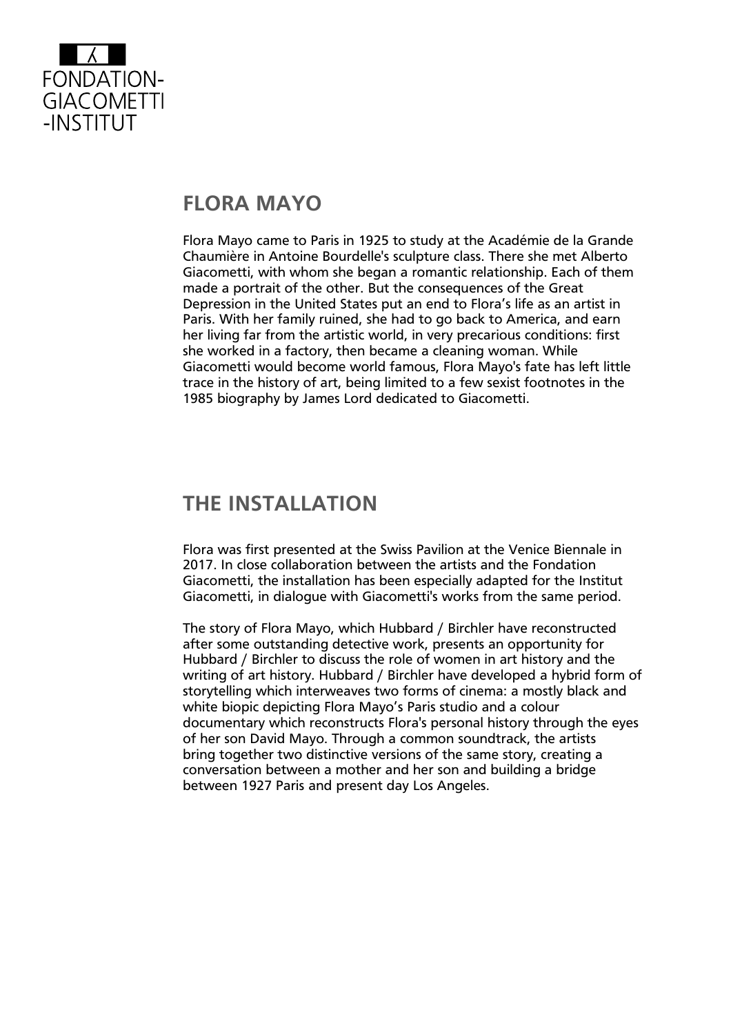

# **FLORA MAYO**

Flora Mayo came to Paris in 1925 to study at the Académie de la Grande Chaumière in Antoine Bourdelle's sculpture class. There she met Alberto Giacometti, with whom she began a romantic relationship. Each of them made a portrait of the other. But the consequences of the Great Depression in the United States put an end to Flora's life as an artist in Paris. With her family ruined, she had to go back to America, and earn her living far from the artistic world, in very precarious conditions: first she worked in a factory, then became a cleaning woman. While Giacometti would become world famous, Flora Mayo's fate has left little trace in the history of art, being limited to a few sexist footnotes in the 1985 biography by James Lord dedicated to Giacometti.

# **THE INSTALLATION**

Flora was first presented at the Swiss Pavilion at the Venice Biennale in 2017. In close collaboration between the artists and the Fondation Giacometti, the installation has been especially adapted for the Institut Giacometti, in dialogue with Giacometti's works from the same period.

The story of Flora Mayo, which Hubbard / Birchler have reconstructed after some outstanding detective work, presents an opportunity for Hubbard / Birchler to discuss the role of women in art history and the writing of art history. Hubbard / Birchler have developed a hybrid form of storytelling which interweaves two forms of cinema: a mostly black and white biopic depicting Flora Mayo's Paris studio and a colour documentary which reconstructs Flora's personal history through the eyes of her son David Mayo. Through a common soundtrack, the artists bring together two distinctive versions of the same story, creating a conversation between a mother and her son and building a bridge between 1927 Paris and present day Los Angeles.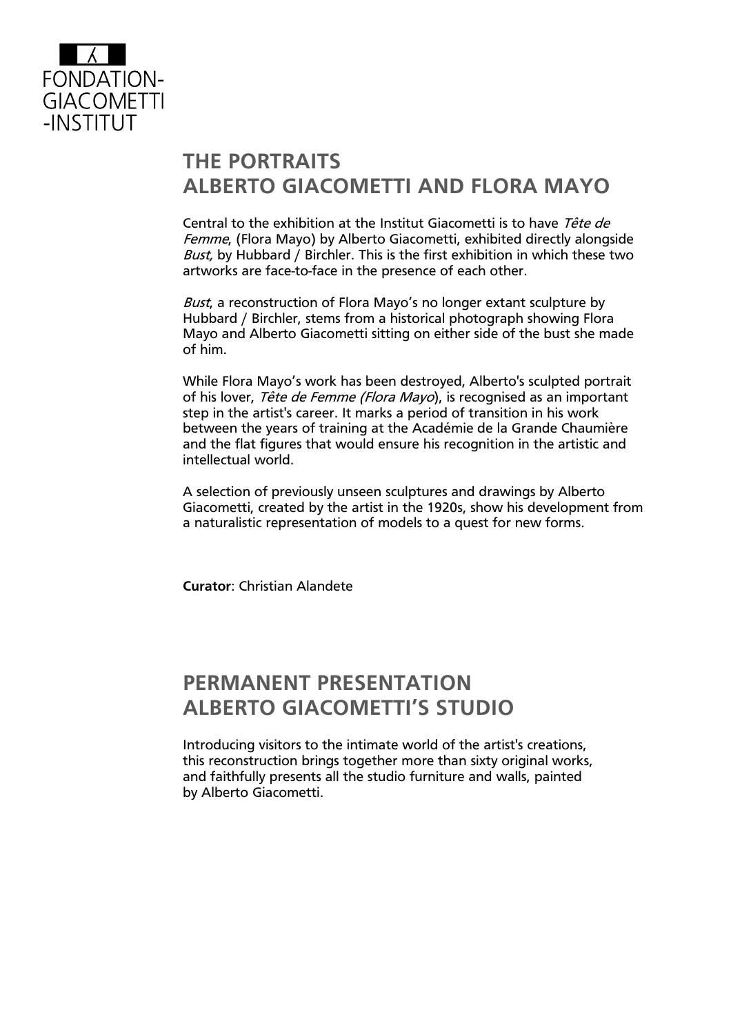

# **THE PORTRAITS ALBERTO GIACOMETTI AND FLORA MAYO**

Central to the exhibition at the Institut Giacometti is to have Tête de Femme, (Flora Mayo) by Alberto Giacometti, exhibited directly alongside Bust, by Hubbard / Birchler. This is the first exhibition in which these two artworks are face-to-face in the presence of each other.

Bust, a reconstruction of Flora Mayo's no longer extant sculpture by Hubbard / Birchler, stems from a historical photograph showing Flora Mayo and Alberto Giacometti sitting on either side of the bust she made of him.

While Flora Mayo's work has been destroyed, Alberto's sculpted portrait of his lover, Tête de Femme (Flora Mayo), is recognised as an important step in the artist's career. It marks a period of transition in his work between the years of training at the Académie de la Grande Chaumière and the flat figures that would ensure his recognition in the artistic and intellectual world.

A selection of previously unseen sculptures and drawings by Alberto Giacometti, created by the artist in the 1920s, show his development from a naturalistic representation of models to a quest for new forms.

**Curator**: Christian Alandete

# **PERMANENT PRESENTATION ALBERTO GIACOMETTI'S STUDIO**

Introducing visitors to the intimate world of the artist's creations, this reconstruction brings together more than sixty original works, and faithfully presents all the studio furniture and walls, painted by Alberto Giacometti.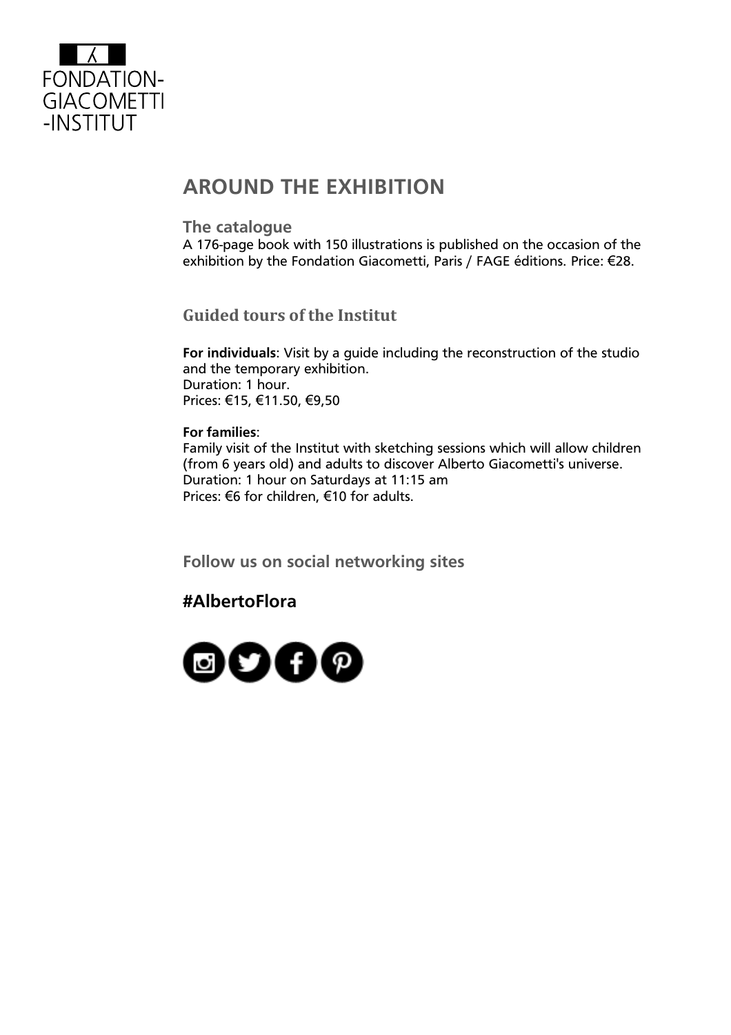

# **AROUND THE EXHIBITION**

### **The catalogue**

A 176-page book with 150 illustrations is published on the occasion of the exhibition by the Fondation Giacometti, Paris / FAGE éditions. Price: €28.

**Guided tours of the Institut** 

**For individuals**: Visit by a guide including the reconstruction of the studio and the temporary exhibition. Duration: 1 hour. Prices: €15, €11.50, €9,50

### **For families**:

Family visit of the Institut with sketching sessions which will allow children (from 6 years old) and adults to discover Alberto Giacometti's universe. Duration: 1 hour on Saturdays at 11:15 am Prices: €6 for children, €10 for adults.

**Follow us on social networking sites**

### **#AlbertoFlora**

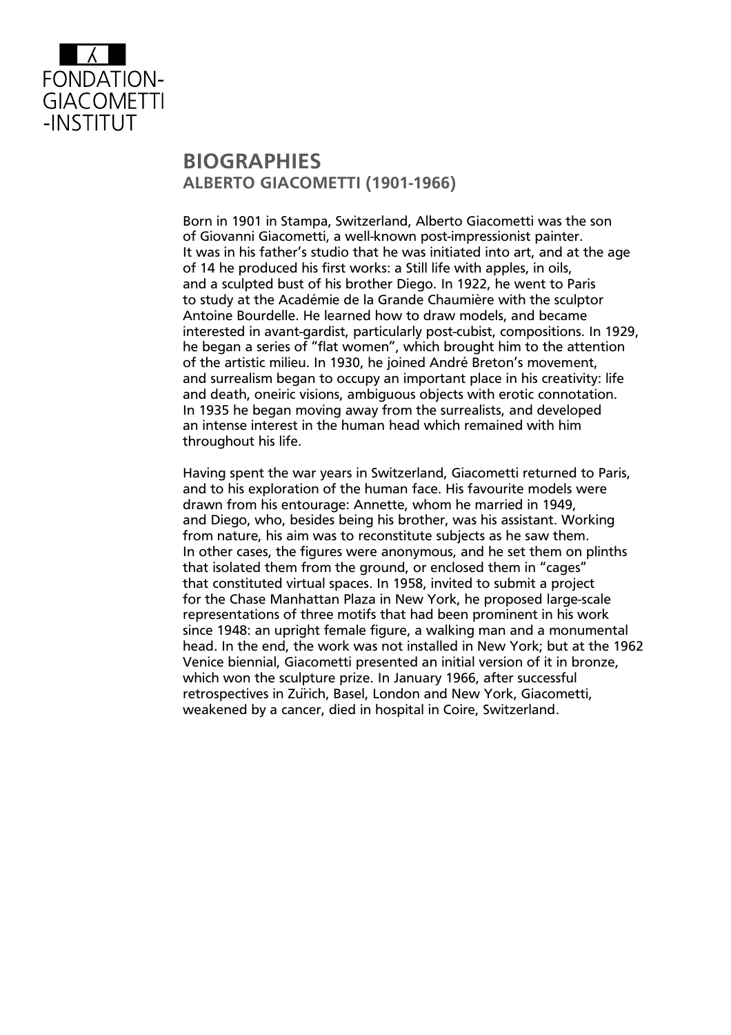

## **BIOGRAPHIES ALBERTO GIACOMETTI (1901-1966)**

Born in 1901 in Stampa, Switzerland, Alberto Giacometti was the son of Giovanni Giacometti, a well-known post-impressionist painter. It was in his father's studio that he was initiated into art, and at the age of 14 he produced his first works: a Still life with apples, in oils, and a sculpted bust of his brother Diego. In 1922, he went to Paris to study at the Académie de la Grande Chaumière with the sculptor Antoine Bourdelle. He learned how to draw models, and became interested in avant-gardist, particularly post-cubist, compositions. In 1929, he began a series of "flat women", which brought him to the attention of the artistic milieu. In 1930, he joined André Breton's movement, and surrealism began to occupy an important place in his creativity: life and death, oneiric visions, ambiguous objects with erotic connotation. In 1935 he began moving away from the surrealists, and developed an intense interest in the human head which remained with him throughout his life.

Having spent the war years in Switzerland, Giacometti returned to Paris, and to his exploration of the human face. His favourite models were drawn from his entourage: Annette, whom he married in 1949, and Diego, who, besides being his brother, was his assistant. Working from nature, his aim was to reconstitute subjects as he saw them. In other cases, the figures were anonymous, and he set them on plinths that isolated them from the ground, or enclosed them in "cages" that constituted virtual spaces. In 1958, invited to submit a project for the Chase Manhattan Plaza in New York, he proposed large-scale representations of three motifs that had been prominent in his work since 1948: an upright female figure, a walking man and a monumental head. In the end, the work was not installed in New York; but at the 1962 Venice biennial, Giacometti presented an initial version of it in bronze, which won the sculpture prize. In January 1966, after successful retrospectives in Zürich, Basel, London and New York, Giacometti, weakened by a cancer, died in hospital in Coire, Switzerland.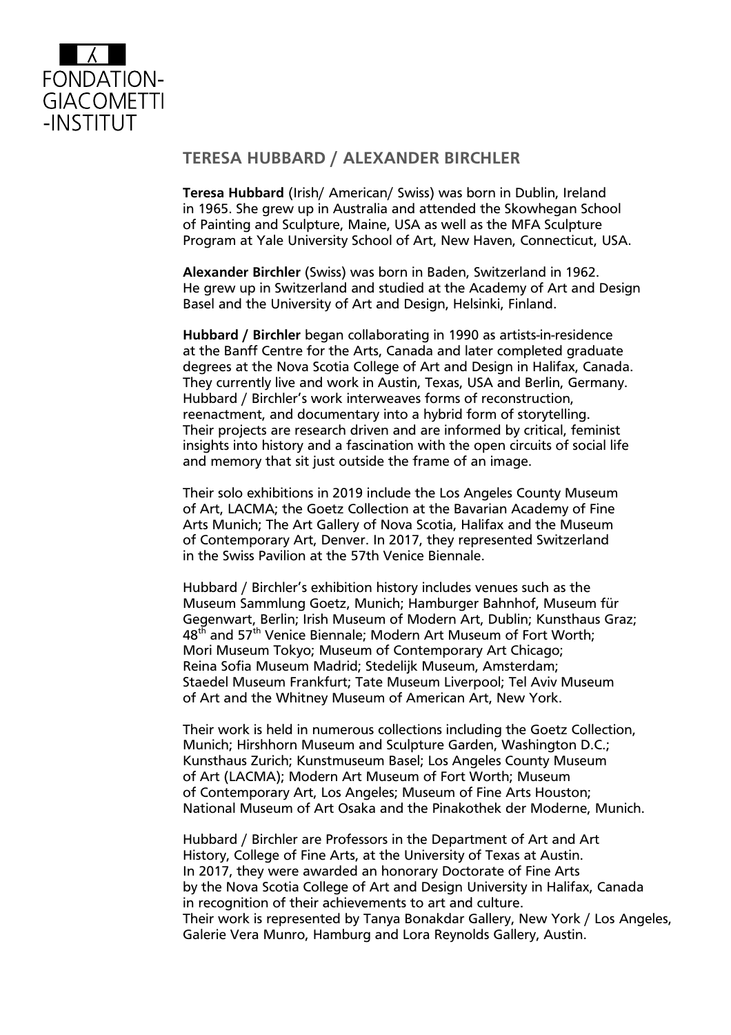

### **TERESA HUBBARD / ALEXANDER BIRCHLER**

**Teresa Hubbard** (Irish/ American/ Swiss) was born in Dublin, Ireland in 1965. She grew up in Australia and attended the Skowhegan School of Painting and Sculpture, Maine, USA as well as the MFA Sculpture Program at Yale University School of Art, New Haven, Connecticut, USA.

**Alexander Birchler** (Swiss) was born in Baden, Switzerland in 1962. He grew up in Switzerland and studied at the Academy of Art and Design Basel and the University of Art and Design, Helsinki, Finland.

**Hubbard / Birchler** began collaborating in 1990 as artists-in-residence at the Banff Centre for the Arts, Canada and later completed graduate degrees at the Nova Scotia College of Art and Design in Halifax, Canada. They currently live and work in Austin, Texas, USA and Berlin, Germany. Hubbard / Birchler's work interweaves forms of reconstruction, reenactment, and documentary into a hybrid form of storytelling. Their projects are research driven and are informed by critical, feminist insights into history and a fascination with the open circuits of social life and memory that sit just outside the frame of an image.

Their solo exhibitions in 2019 include the Los Angeles County Museum of Art, LACMA; the Goetz Collection at the Bavarian Academy of Fine Arts Munich; The Art Gallery of Nova Scotia, Halifax and the Museum of Contemporary Art, Denver. In 2017, they represented Switzerland in the Swiss Pavilion at the 57th Venice Biennale.

Hubbard / Birchler's exhibition history includes venues such as the Museum Sammlung Goetz, Munich; Hamburger Bahnhof, Museum für Gegenwart, Berlin; Irish Museum of Modern Art, Dublin; Kunsthaus Graz; 48<sup>th</sup> and 57<sup>th</sup> Venice Biennale; Modern Art Museum of Fort Worth; Mori Museum Tokyo; Museum of Contemporary Art Chicago; Reina Sofia Museum Madrid; Stedelijk Museum, Amsterdam; Staedel Museum Frankfurt; Tate Museum Liverpool; Tel Aviv Museum of Art and the Whitney Museum of American Art, New York.

Their work is held in numerous collections including the Goetz Collection, Munich; Hirshhorn Museum and Sculpture Garden, Washington D.C.; Kunsthaus Zurich; Kunstmuseum Basel; Los Angeles County Museum of Art (LACMA); Modern Art Museum of Fort Worth; Museum of Contemporary Art, Los Angeles; Museum of Fine Arts Houston; National Museum of Art Osaka and the Pinakothek der Moderne, Munich.

Hubbard / Birchler are Professors in the Department of Art and Art History, College of Fine Arts, at the University of Texas at Austin. In 2017, they were awarded an honorary Doctorate of Fine Arts by the Nova Scotia College of Art and Design University in Halifax, Canada in recognition of their achievements to art and culture. Their work is represented by Tanya Bonakdar Gallery, New York / Los Angeles, Galerie Vera Munro, Hamburg and Lora Reynolds Gallery, Austin.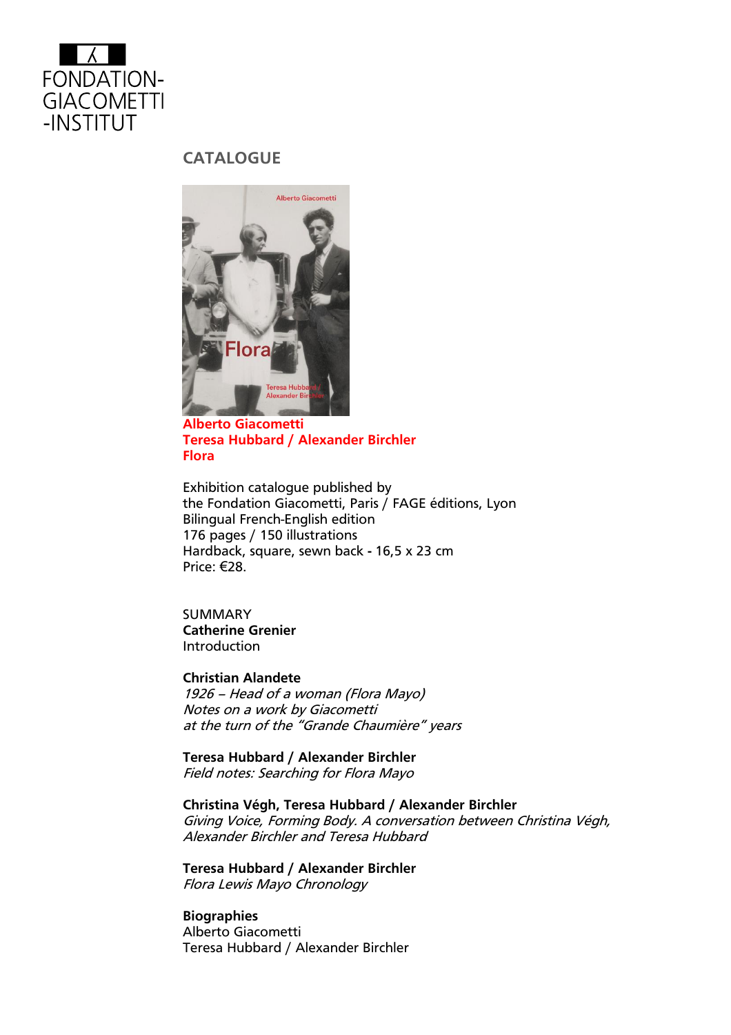

### **CATALOGUE**



**Alberto Giacometti Teresa Hubbard / Alexander Birchler Flora**

Exhibition catalogue published by the Fondation Giacometti, Paris / FAGE éditions, Lyon Bilingual French-English edition 176 pages / 150 illustrations Hardback, square, sewn back **-** 16,5 x 23 cm Price: €28.

SUMMARY **Catherine Grenier** Introduction

**Christian Alandete** 1926 – Head of a woman (Flora Mayo) Notes on a work by Giacometti at the turn of the "Grande Chaumière" years

**Teresa Hubbard / Alexander Birchler** Field notes: Searching for Flora Mayo

**Christina Végh, Teresa Hubbard / Alexander Birchler** Giving Voice, Forming Body. A conversation between Christina Végh, Alexander Birchler and Teresa Hubbard

**Teresa Hubbard / Alexander Birchler** Flora Lewis Mayo Chronology

**Biographies** Alberto Giacometti Teresa Hubbard / Alexander Birchler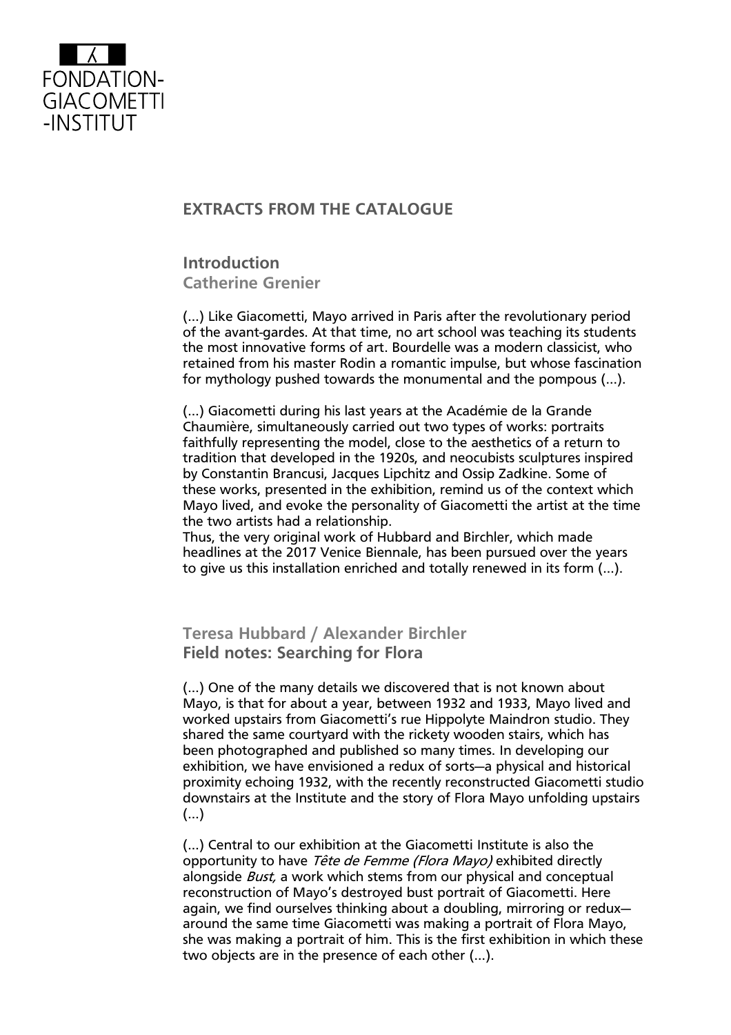

### **EXTRACTS FROM THE CATALOGUE**

**Introduction Catherine Grenier**

(…) Like Giacometti, Mayo arrived in Paris after the revolutionary period of the avant-gardes. At that time, no art school was teaching its students the most innovative forms of art. Bourdelle was a modern classicist, who retained from his master Rodin a romantic impulse, but whose fascination for mythology pushed towards the monumental and the pompous (…).

(…) Giacometti during his last years at the Académie de la Grande Chaumière, simultaneously carried out two types of works: portraits faithfully representing the model, close to the aesthetics of a return to tradition that developed in the 1920s, and neocubists sculptures inspired by Constantin Brancusi, Jacques Lipchitz and Ossip Zadkine. Some of these works, presented in the exhibition, remind us of the context which Mayo lived, and evoke the personality of Giacometti the artist at the time the two artists had a relationship.

Thus, the very original work of Hubbard and Birchler, which made headlines at the 2017 Venice Biennale, has been pursued over the years to give us this installation enriched and totally renewed in its form (…).

**Teresa Hubbard / Alexander Birchler Field notes: Searching for Flora** 

(…) One of the many details we discovered that is not known about Mayo, is that for about a year, between 1932 and 1933, Mayo lived and worked upstairs from Giacometti's rue Hippolyte Maindron studio. They shared the same courtyard with the rickety wooden stairs, which has been photographed and published so many times. In developing our exhibition, we have envisioned a redux of sorts—a physical and historical proximity echoing 1932, with the recently reconstructed Giacometti studio downstairs at the Institute and the story of Flora Mayo unfolding upstairs (…)

(…) Central to our exhibition at the Giacometti Institute is also the opportunity to have Tête de Femme (Flora Mayo) exhibited directly alongside *Bust*, a work which stems from our physical and conceptual reconstruction of Mayo's destroyed bust portrait of Giacometti. Here again, we find ourselves thinking about a doubling, mirroring or redux around the same time Giacometti was making a portrait of Flora Mayo, she was making a portrait of him. This is the first exhibition in which these two objects are in the presence of each other (…).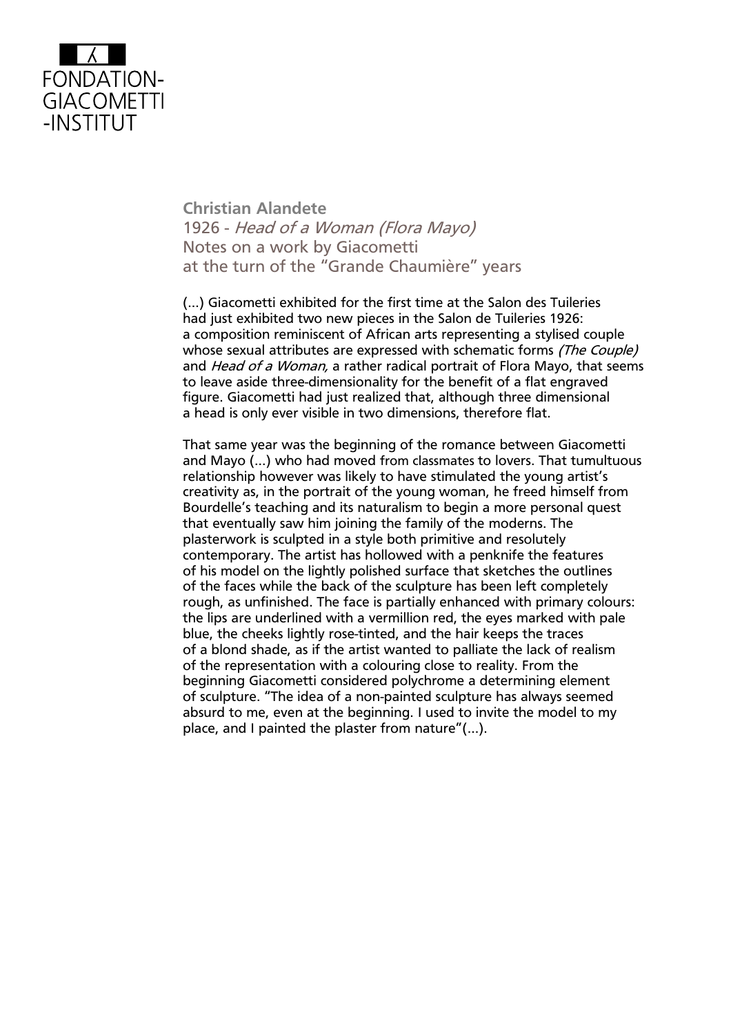

**Christian Alandete**  1926 - Head of a Woman (Flora Mayo) Notes on a work by Giacometti at the turn of the "Grande Chaumière" years

(…) Giacometti exhibited for the first time at the Salon des Tuileries had just exhibited two new pieces in the Salon de Tuileries 1926: a composition reminiscent of African arts representing a stylised couple whose sexual attributes are expressed with schematic forms (The Couple) and *Head of a Woman,* a rather radical portrait of Flora Mayo, that seems to leave aside three-dimensionality for the benefit of a flat engraved figure. Giacometti had just realized that, although three dimensional a head is only ever visible in two dimensions, therefore flat.

That same year was the beginning of the romance between Giacometti and Mayo (…) who had moved from classmates to lovers. That tumultuous relationship however was likely to have stimulated the young artist's creativity as, in the portrait of the young woman, he freed himself from Bourdelle's teaching and its naturalism to begin a more personal quest that eventually saw him joining the family of the moderns. The plasterwork is sculpted in a style both primitive and resolutely contemporary. The artist has hollowed with a penknife the features of his model on the lightly polished surface that sketches the outlines of the faces while the back of the sculpture has been left completely rough, as unfinished. The face is partially enhanced with primary colours: the lips are underlined with a vermillion red, the eyes marked with pale blue, the cheeks lightly rose-tinted, and the hair keeps the traces of a blond shade, as if the artist wanted to palliate the lack of realism of the representation with a colouring close to reality. From the beginning Giacometti considered polychrome a determining element of sculpture. "The idea of a non-painted sculpture has always seemed absurd to me, even at the beginning. I used to invite the model to my place, and I painted the plaster from nature"(…).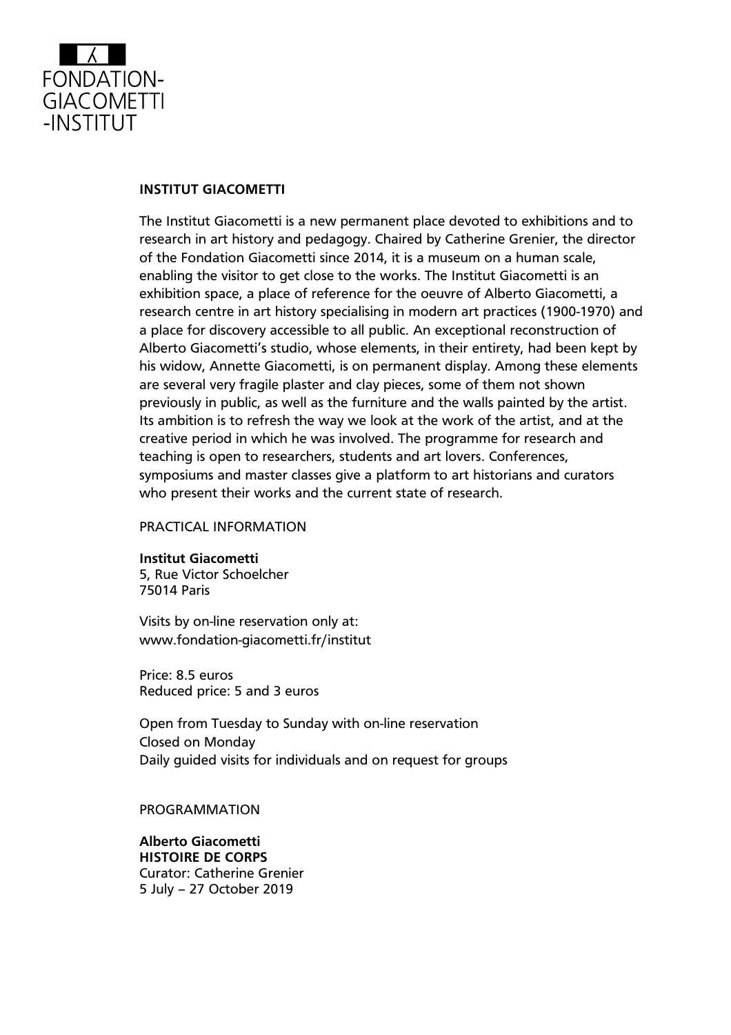

### **INSTITUT GIACOMETTI**

The Institut Giacometti is a new permanent place devoted to exhibitions and to research in art history and pedagogy. Chaired by Catherine Grenier, the director of the Fondation Giacometti since 2014, it is a museum on a human scale, enabling the visitor to get close to the works. The Institut Giacometti is an exhibition space, a place of reference for the oeuvre of Alberto Giacometti, a research centre in art history specialising in modern art practices (1900-1970) and a place for discovery accessible to all public. An exceptional reconstruction of Alberto Giacometti's studio, whose elements, in their entirety, had been kept by his widow, Annette Giacometti, is on permanent display. Among these elements are several very fragile plaster and clay pieces, some of them not shown previously in public, as well as the furniture and the walls painted by the artist. Its ambition is to refresh the way we look at the work of the artist, and at the creative period in which he was involved. The programme for research and teaching is open to researchers, students and art lovers. Conferences, symposiums and master classes give a platform to art historians and curators who present their works and the current state of research.

#### PRACTICAL INFORMATION

**Institut Giacometti** 5, Rue Victor Schoelcher 75014 Paris

Visits by on-line reservation only at: [www.fondation-giacometti.fr/institut](http://www.fondation-giacometti.fr/institut)

Price: 8.5 euros Reduced price: 5 and 3 euros

Open from Tuesday to Sunday with on-line reservation Closed on Monday Daily guided visits for individuals and on request for groups

#### PROGRAMMATION

**Alberto Giacometti HISTOIRE DE CORPS** Curator: Catherine Grenier 5 July – 27 October 2019